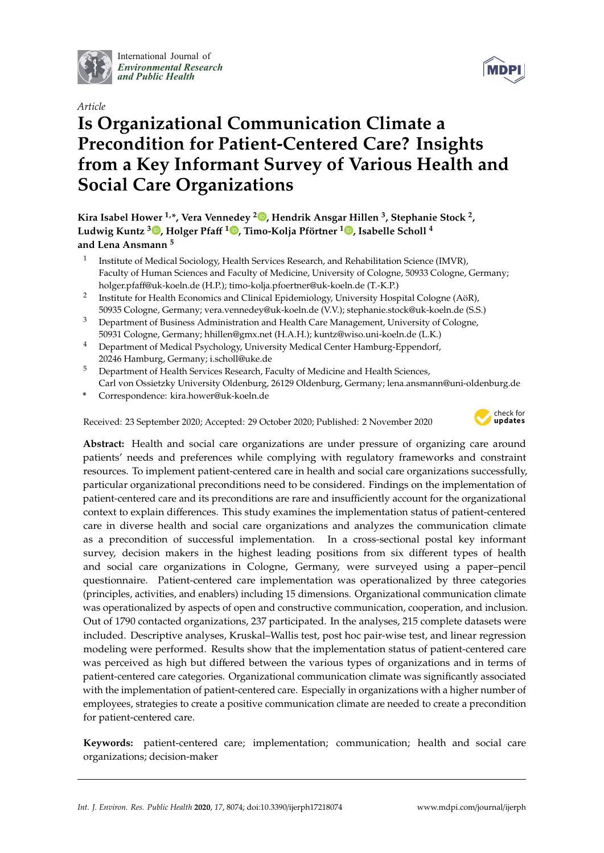

International Journal of *[Environmental Research](http://www.mdpi.com/journal/ijerph) and Public Health*



# **Is Organizational Communication Climate a Precondition for Patient-Centered Care? Insights from a Key Informant Survey of Various Health and Social Care Organizations**

**Kira Isabel Hower 1,\*, Vera Vennedey <sup>2</sup> [,](https://orcid.org/0000-0003-4977-750X) Hendrik Ansgar Hillen <sup>3</sup> , Stephanie Stock <sup>2</sup> , Ludwig Kuntz <sup>3</sup> [,](https://orcid.org/0000-0002-4083-4574) Holger Pfa**ff **1 [,](https://orcid.org/0000-0001-9154-6575) Timo-Kolja Pförtner <sup>1</sup> [,](https://orcid.org/0000-0002-8188-894X) Isabelle Scholl <sup>4</sup> and Lena Ansmann <sup>5</sup>**

- 1 Institute of Medical Sociology, Health Services Research, and Rehabilitation Science (IMVR), Faculty of Human Sciences and Faculty of Medicine, University of Cologne, 50933 Cologne, Germany; holger.pfaff@uk-koeln.de (H.P.); timo-kolja.pfoertner@uk-koeln.de (T.-K.P.)
- 2 Institute for Health Economics and Clinical Epidemiology, University Hospital Cologne (AöR), 50935 Cologne, Germany; vera.vennedey@uk-koeln.de (V.V.); stephanie.stock@uk-koeln.de (S.S.)
- <sup>3</sup> Department of Business Administration and Health Care Management, University of Cologne, 50931 Cologne, Germany; hhillen@gmx.net (H.A.H.); kuntz@wiso.uni-koeln.de (L.K.)
- <sup>4</sup> Department of Medical Psychology, University Medical Center Hamburg-Eppendorf, 20246 Hamburg, Germany; i.scholl@uke.de
- <sup>5</sup> Department of Health Services Research, Faculty of Medicine and Health Sciences, Carl von Ossietzky University Oldenburg, 26129 Oldenburg, Germany; lena.ansmann@uni-oldenburg.de
- **\*** Correspondence: kira.hower@uk-koeln.de

Received: 23 September 2020; Accepted: 29 October 2020; Published: 2 November 2020



**Abstract:** Health and social care organizations are under pressure of organizing care around patients' needs and preferences while complying with regulatory frameworks and constraint resources. To implement patient-centered care in health and social care organizations successfully, particular organizational preconditions need to be considered. Findings on the implementation of patient-centered care and its preconditions are rare and insufficiently account for the organizational context to explain differences. This study examines the implementation status of patient-centered care in diverse health and social care organizations and analyzes the communication climate as a precondition of successful implementation. In a cross-sectional postal key informant survey, decision makers in the highest leading positions from six different types of health and social care organizations in Cologne, Germany, were surveyed using a paper–pencil questionnaire. Patient-centered care implementation was operationalized by three categories (principles, activities, and enablers) including 15 dimensions. Organizational communication climate was operationalized by aspects of open and constructive communication, cooperation, and inclusion. Out of 1790 contacted organizations, 237 participated. In the analyses, 215 complete datasets were included. Descriptive analyses, Kruskal–Wallis test, post hoc pair-wise test, and linear regression modeling were performed. Results show that the implementation status of patient-centered care was perceived as high but differed between the various types of organizations and in terms of patient-centered care categories. Organizational communication climate was significantly associated with the implementation of patient-centered care. Especially in organizations with a higher number of employees, strategies to create a positive communication climate are needed to create a precondition for patient-centered care.

**Keywords:** patient-centered care; implementation; communication; health and social care organizations; decision-maker

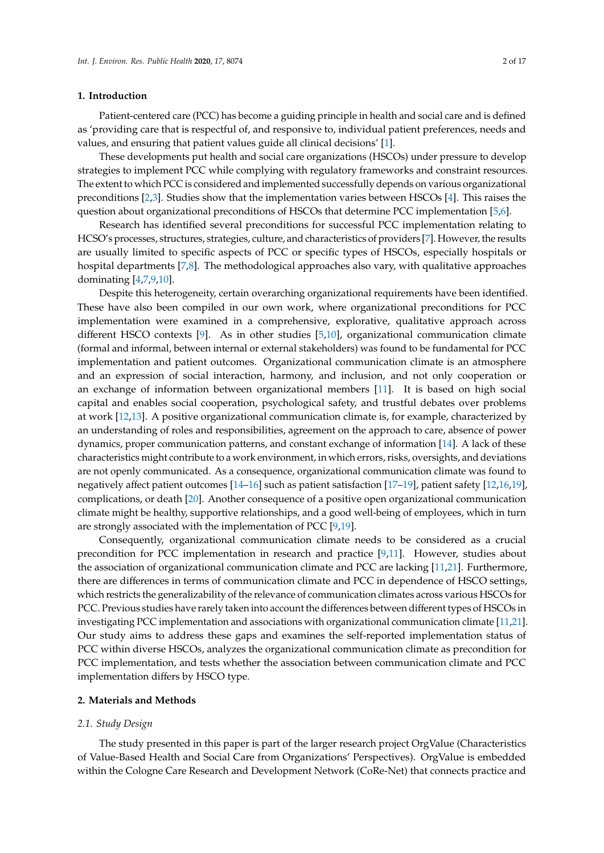#### **1. Introduction**

Patient-centered care (PCC) has become a guiding principle in health and social care and is defined as 'providing care that is respectful of, and responsive to, individual patient preferences, needs and values, and ensuring that patient values guide all clinical decisions' [\[1\]](#page-14-0).

These developments put health and social care organizations (HSCOs) under pressure to develop strategies to implement PCC while complying with regulatory frameworks and constraint resources. The extent to which PCC is considered and implemented successfully depends on various organizational preconditions [\[2](#page-14-1)[,3\]](#page-14-2). Studies show that the implementation varies between HSCOs [\[4\]](#page-14-3). This raises the question about organizational preconditions of HSCOs that determine PCC implementation [\[5](#page-14-4)[,6\]](#page-14-5).

Research has identified several preconditions for successful PCC implementation relating to HCSO's processes, structures, strategies, culture, and characteristics of providers [\[7\]](#page-14-6). However, the results are usually limited to specific aspects of PCC or specific types of HSCOs, especially hospitals or hospital departments [\[7,](#page-14-6)[8\]](#page-14-7). The methodological approaches also vary, with qualitative approaches dominating [\[4](#page-14-3)[,7](#page-14-6)[,9](#page-14-8)[,10\]](#page-14-9).

Despite this heterogeneity, certain overarching organizational requirements have been identified. These have also been compiled in our own work, where organizational preconditions for PCC implementation were examined in a comprehensive, explorative, qualitative approach across different HSCO contexts [\[9\]](#page-14-8). As in other studies [\[5,](#page-14-4)[10\]](#page-14-9), organizational communication climate (formal and informal, between internal or external stakeholders) was found to be fundamental for PCC implementation and patient outcomes. Organizational communication climate is an atmosphere and an expression of social interaction, harmony, and inclusion, and not only cooperation or an exchange of information between organizational members [\[11\]](#page-14-10). It is based on high social capital and enables social cooperation, psychological safety, and trustful debates over problems at work [\[12,](#page-14-11)[13\]](#page-14-12). A positive organizational communication climate is, for example, characterized by an understanding of roles and responsibilities, agreement on the approach to care, absence of power dynamics, proper communication patterns, and constant exchange of information [\[14\]](#page-14-13). A lack of these characteristics might contribute to a work environment, in which errors, risks, oversights, and deviations are not openly communicated. As a consequence, organizational communication climate was found to negatively affect patient outcomes [\[14–](#page-14-13)[16\]](#page-14-14) such as patient satisfaction [\[17](#page-14-15)[–19\]](#page-14-16), patient safety [\[12](#page-14-11)[,16](#page-14-14)[,19\]](#page-14-16), complications, or death [\[20\]](#page-14-17). Another consequence of a positive open organizational communication climate might be healthy, supportive relationships, and a good well-being of employees, which in turn are strongly associated with the implementation of PCC [\[9](#page-14-8)[,19\]](#page-14-16).

Consequently, organizational communication climate needs to be considered as a crucial precondition for PCC implementation in research and practice [\[9,](#page-14-8)[11\]](#page-14-10). However, studies about the association of organizational communication climate and PCC are lacking [\[11,](#page-14-10)[21\]](#page-15-0). Furthermore, there are differences in terms of communication climate and PCC in dependence of HSCO settings, which restricts the generalizability of the relevance of communication climates across various HSCOs for PCC. Previous studies have rarely taken into account the differences between different types of HSCOs in investigating PCC implementation and associations with organizational communication climate [\[11](#page-14-10)[,21\]](#page-15-0). Our study aims to address these gaps and examines the self-reported implementation status of PCC within diverse HSCOs, analyzes the organizational communication climate as precondition for PCC implementation, and tests whether the association between communication climate and PCC implementation differs by HSCO type.

#### **2. Materials and Methods**

#### *2.1. Study Design*

The study presented in this paper is part of the larger research project OrgValue (Characteristics of Value-Based Health and Social Care from Organizations' Perspectives). OrgValue is embedded within the Cologne Care Research and Development Network (CoRe-Net) that connects practice and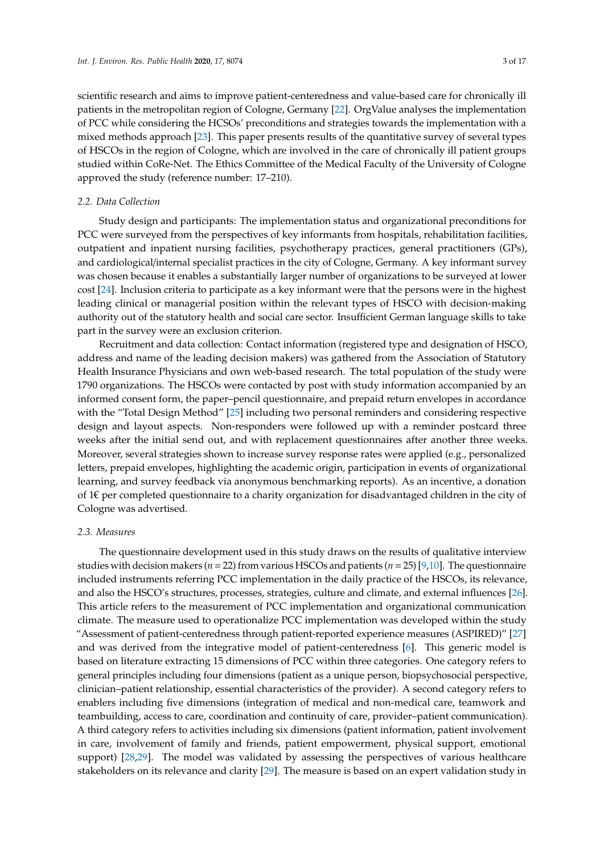scientific research and aims to improve patient-centeredness and value-based care for chronically ill patients in the metropolitan region of Cologne, Germany [\[22\]](#page-15-1). OrgValue analyses the implementation of PCC while considering the HCSOs' preconditions and strategies towards the implementation with a mixed methods approach [\[23\]](#page-15-2). This paper presents results of the quantitative survey of several types of HSCOs in the region of Cologne, which are involved in the care of chronically ill patient groups studied within CoRe-Net. The Ethics Committee of the Medical Faculty of the University of Cologne approved the study (reference number: 17–210).

#### *2.2. Data Collection*

Study design and participants: The implementation status and organizational preconditions for PCC were surveyed from the perspectives of key informants from hospitals, rehabilitation facilities, outpatient and inpatient nursing facilities, psychotherapy practices, general practitioners (GPs), and cardiological/internal specialist practices in the city of Cologne, Germany. A key informant survey was chosen because it enables a substantially larger number of organizations to be surveyed at lower cost [\[24\]](#page-15-3). Inclusion criteria to participate as a key informant were that the persons were in the highest leading clinical or managerial position within the relevant types of HSCO with decision-making authority out of the statutory health and social care sector. Insufficient German language skills to take part in the survey were an exclusion criterion.

Recruitment and data collection: Contact information (registered type and designation of HSCO, address and name of the leading decision makers) was gathered from the Association of Statutory Health Insurance Physicians and own web-based research. The total population of the study were 1790 organizations. The HSCOs were contacted by post with study information accompanied by an informed consent form, the paper–pencil questionnaire, and prepaid return envelopes in accordance with the "Total Design Method" [\[25\]](#page-15-4) including two personal reminders and considering respective design and layout aspects. Non-responders were followed up with a reminder postcard three weeks after the initial send out, and with replacement questionnaires after another three weeks. Moreover, several strategies shown to increase survey response rates were applied (e.g., personalized letters, prepaid envelopes, highlighting the academic origin, participation in events of organizational learning, and survey feedback via anonymous benchmarking reports). As an incentive, a donation of 1€ per completed questionnaire to a charity organization for disadvantaged children in the city of Cologne was advertised.

#### *2.3. Measures*

The questionnaire development used in this study draws on the results of qualitative interview studies with decision makers (*n* = 22) from various HSCOs and patients (*n* = 25) [\[9](#page-14-8)[,10\]](#page-14-9). The questionnaire included instruments referring PCC implementation in the daily practice of the HSCOs, its relevance, and also the HSCO's structures, processes, strategies, culture and climate, and external influences [\[26\]](#page-15-5). This article refers to the measurement of PCC implementation and organizational communication climate. The measure used to operationalize PCC implementation was developed within the study "Assessment of patient-centeredness through patient-reported experience measures (ASPIRED)" [\[27\]](#page-15-6) and was derived from the integrative model of patient-centeredness [\[6\]](#page-14-5). This generic model is based on literature extracting 15 dimensions of PCC within three categories. One category refers to general principles including four dimensions (patient as a unique person, biopsychosocial perspective, clinician–patient relationship, essential characteristics of the provider). A second category refers to enablers including five dimensions (integration of medical and non-medical care, teamwork and teambuilding, access to care, coordination and continuity of care, provider–patient communication). A third category refers to activities including six dimensions (patient information, patient involvement in care, involvement of family and friends, patient empowerment, physical support, emotional support) [\[28](#page-15-7)[,29\]](#page-15-8). The model was validated by assessing the perspectives of various healthcare stakeholders on its relevance and clarity [\[29\]](#page-15-8). The measure is based on an expert validation study in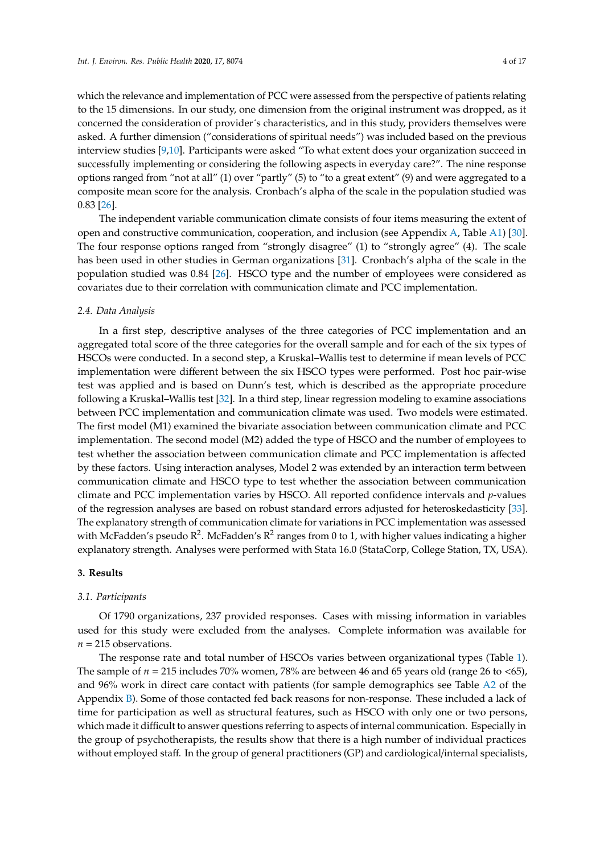which the relevance and implementation of PCC were assessed from the perspective of patients relating to the 15 dimensions. In our study, one dimension from the original instrument was dropped, as it concerned the consideration of provider´s characteristics, and in this study, providers themselves were asked. A further dimension ("considerations of spiritual needs") was included based on the previous interview studies [\[9,](#page-14-8)[10\]](#page-14-9). Participants were asked "To what extent does your organization succeed in successfully implementing or considering the following aspects in everyday care?". The nine response options ranged from "not at all" (1) over "partly" (5) to "to a great extent" (9) and were aggregated to a composite mean score for the analysis. Cronbach's alpha of the scale in the population studied was 0.83 [\[26\]](#page-15-5).

The independent variable communication climate consists of four items measuring the extent of open and constructive communication, cooperation, and inclusion (see Appendix [A,](#page-10-0) Table [A1\)](#page-10-1) [\[30\]](#page-15-9). The four response options ranged from "strongly disagree" (1) to "strongly agree" (4). The scale has been used in other studies in German organizations [\[31\]](#page-15-10). Cronbach's alpha of the scale in the population studied was 0.84 [\[26\]](#page-15-5). HSCO type and the number of employees were considered as covariates due to their correlation with communication climate and PCC implementation.

#### *2.4. Data Analysis*

In a first step, descriptive analyses of the three categories of PCC implementation and an aggregated total score of the three categories for the overall sample and for each of the six types of HSCOs were conducted. In a second step, a Kruskal–Wallis test to determine if mean levels of PCC implementation were different between the six HSCO types were performed. Post hoc pair-wise test was applied and is based on Dunn's test, which is described as the appropriate procedure following a Kruskal–Wallis test [\[32\]](#page-15-11). In a third step, linear regression modeling to examine associations between PCC implementation and communication climate was used. Two models were estimated. The first model (M1) examined the bivariate association between communication climate and PCC implementation. The second model (M2) added the type of HSCO and the number of employees to test whether the association between communication climate and PCC implementation is affected by these factors. Using interaction analyses, Model 2 was extended by an interaction term between communication climate and HSCO type to test whether the association between communication climate and PCC implementation varies by HSCO. All reported confidence intervals and *p*-values of the regression analyses are based on robust standard errors adjusted for heteroskedasticity [\[33\]](#page-15-12). The explanatory strength of communication climate for variations in PCC implementation was assessed with McFadden's pseudo R<sup>2</sup>. McFadden's R<sup>2</sup> ranges from 0 to 1, with higher values indicating a higher explanatory strength. Analyses were performed with Stata 16.0 (StataCorp, College Station, TX, USA).

#### **3. Results**

#### *3.1. Participants*

Of 1790 organizations, 237 provided responses. Cases with missing information in variables used for this study were excluded from the analyses. Complete information was available for  $n = 215$  observations.

The response rate and total number of HSCOs varies between organizational types (Table [1\)](#page-4-0). The sample of *n* = 215 includes 70% women, 78% are between 46 and 65 years old (range 26 to <65), and 96% work in direct care contact with patients (for sample demographics see Table [A2](#page-11-0) of the Appendix [B\)](#page-11-1). Some of those contacted fed back reasons for non-response. These included a lack of time for participation as well as structural features, such as HSCO with only one or two persons, which made it difficult to answer questions referring to aspects of internal communication. Especially in the group of psychotherapists, the results show that there is a high number of individual practices without employed staff. In the group of general practitioners (GP) and cardiological/internal specialists,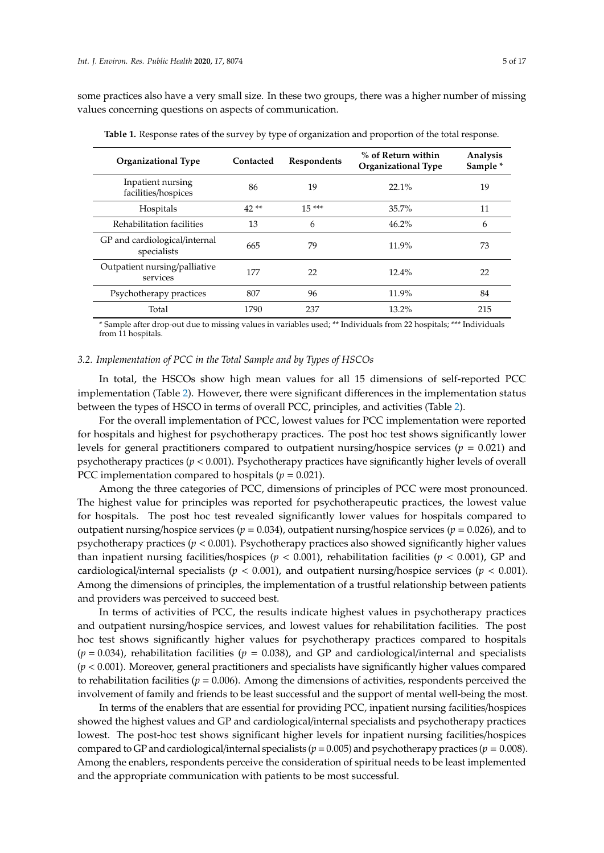some practices also have a very small size. In these two groups, there was a higher number of missing values concerning questions on aspects of communication.

<span id="page-4-0"></span>

| <b>Organizational Type</b>                   | Contacted | Respondents | % of Return within<br><b>Organizational Type</b> | Analysis<br>Sample * |
|----------------------------------------------|-----------|-------------|--------------------------------------------------|----------------------|
| Inpatient nursing<br>facilities/hospices     | 86        | 19          | $22.1\%$                                         | 19                   |
| Hospitals                                    | $42**$    | $15***$     | $35.7\%$                                         | 11                   |
| Rehabilitation facilities                    | 13        | 6           | $46.2\%$                                         | 6                    |
| GP and cardiological/internal<br>specialists | 665       | 79          | $11.9\%$                                         | 73                   |
| Outpatient nursing/palliative<br>services    | 177       | 22          | $12.4\%$                                         | 22                   |
| Psychotherapy practices                      | 807       | 96          | $11.9\%$                                         | 84                   |
| Total                                        | 1790      | 237         | $13.2\%$                                         | 215                  |
|                                              |           |             |                                                  |                      |

**Table 1.** Response rates of the survey by type of organization and proportion of the total response.

\* Sample after drop-out due to missing values in variables used; \*\* Individuals from 22 hospitals; \*\*\* Individuals from 11 hospitals.

#### *3.2. Implementation of PCC in the Total Sample and by Types of HSCOs*

In total, the HSCOs show high mean values for all 15 dimensions of self-reported PCC implementation (Table [2\)](#page-5-0). However, there were significant differences in the implementation status between the types of HSCO in terms of overall PCC, principles, and activities (Table [2\)](#page-5-0).

For the overall implementation of PCC, lowest values for PCC implementation were reported for hospitals and highest for psychotherapy practices. The post hoc test shows significantly lower levels for general practitioners compared to outpatient nursing/hospice services (*p* = 0.021) and psychotherapy practices (*p* < 0.001). Psychotherapy practices have significantly higher levels of overall PCC implementation compared to hospitals ( $p = 0.021$ ).

Among the three categories of PCC, dimensions of principles of PCC were most pronounced. The highest value for principles was reported for psychotherapeutic practices, the lowest value for hospitals. The post hoc test revealed significantly lower values for hospitals compared to outpatient nursing/hospice services (*p* = 0.034), outpatient nursing/hospice services (*p* = 0.026), and to psychotherapy practices (*p* < 0.001). Psychotherapy practices also showed significantly higher values than inpatient nursing facilities/hospices ( $p < 0.001$ ), rehabilitation facilities ( $p < 0.001$ ), GP and cardiological/internal specialists ( $p < 0.001$ ), and outpatient nursing/hospice services ( $p < 0.001$ ). Among the dimensions of principles, the implementation of a trustful relationship between patients and providers was perceived to succeed best.

In terms of activities of PCC, the results indicate highest values in psychotherapy practices and outpatient nursing/hospice services, and lowest values for rehabilitation facilities. The post hoc test shows significantly higher values for psychotherapy practices compared to hospitals  $(p = 0.034)$ , rehabilitation facilities  $(p = 0.038)$ , and GP and cardiological/internal and specialists (*p* < 0.001). Moreover, general practitioners and specialists have significantly higher values compared to rehabilitation facilities ( $p = 0.006$ ). Among the dimensions of activities, respondents perceived the involvement of family and friends to be least successful and the support of mental well-being the most.

In terms of the enablers that are essential for providing PCC, inpatient nursing facilities/hospices showed the highest values and GP and cardiological/internal specialists and psychotherapy practices lowest. The post-hoc test shows significant higher levels for inpatient nursing facilities/hospices compared to GP and cardiological/internal specialists ( $p = 0.005$ ) and psychotherapy practices ( $p = 0.008$ ). Among the enablers, respondents perceive the consideration of spiritual needs to be least implemented and the appropriate communication with patients to be most successful.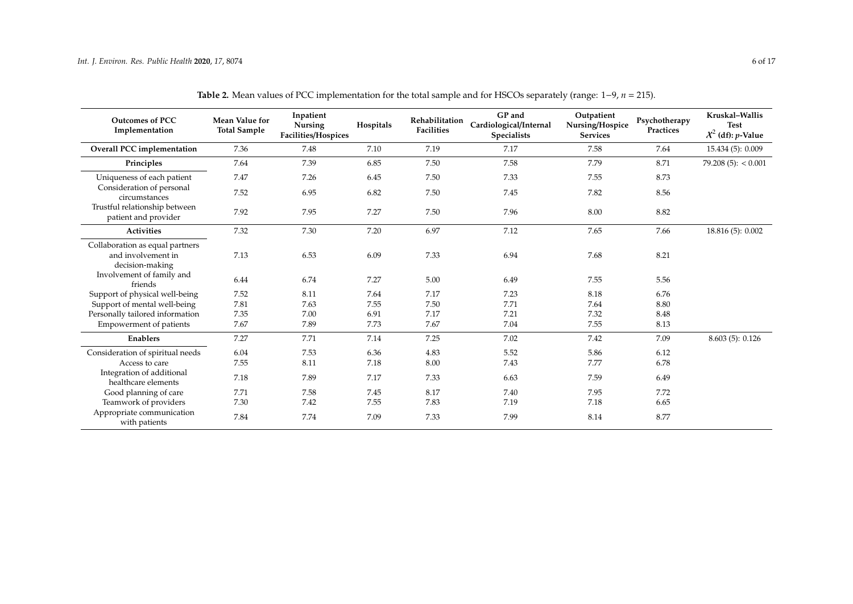<span id="page-5-0"></span>

| <b>Outcomes of PCC</b><br>Implementation                                 | Mean Value for<br><b>Total Sample</b> | Inpatient<br>Nursing<br>Facilities/Hospices | Hospitals | Rehabilitation<br>Facilities | GP and<br>Cardiological/Internal<br><b>Specialists</b> | Outpatient<br>Nursing/Hospice<br><b>Services</b> | Psychotherapy<br>Practices | Kruskal-Wallis<br><b>Test</b><br>$\mathcal{X}^2$ (df): <i>p</i> -Value |
|--------------------------------------------------------------------------|---------------------------------------|---------------------------------------------|-----------|------------------------------|--------------------------------------------------------|--------------------------------------------------|----------------------------|------------------------------------------------------------------------|
| <b>Overall PCC implementation</b>                                        | 7.36                                  | 7.48                                        | 7.10      | 7.19                         | 7.17                                                   | 7.58                                             | 7.64                       | 15.434(5): 0.009                                                       |
| Principles                                                               | 7.64                                  | 7.39                                        | 6.85      | 7.50                         | 7.58                                                   | 7.79                                             | 8.71                       | 79.208(5): < 0.001                                                     |
| Uniqueness of each patient                                               | 7.47                                  | 7.26                                        | 6.45      | 7.50                         | 7.33                                                   | 7.55                                             | 8.73                       |                                                                        |
| Consideration of personal<br>circumstances                               | 7.52                                  | 6.95                                        | 6.82      | 7.50                         | 7.45                                                   | 7.82                                             | 8.56                       |                                                                        |
| Trustful relationship between<br>patient and provider                    | 7.92                                  | 7.95                                        | 7.27      | 7.50                         | 7.96                                                   | 8.00                                             | 8.82                       |                                                                        |
| <b>Activities</b>                                                        | 7.32                                  | 7.30                                        | 7.20      | 6.97                         | 7.12                                                   | 7.65                                             | 7.66                       | 18.816 (5): 0.002                                                      |
| Collaboration as equal partners<br>and involvement in<br>decision-making | 7.13                                  | 6.53                                        | 6.09      | 7.33                         | 6.94                                                   | 7.68                                             | 8.21                       |                                                                        |
| Involvement of family and<br>friends                                     | 6.44                                  | 6.74                                        | 7.27      | 5.00                         | 6.49                                                   | 7.55                                             | 5.56                       |                                                                        |
| Support of physical well-being                                           | 7.52                                  | 8.11                                        | 7.64      | 7.17                         | 7.23                                                   | 8.18                                             | 6.76                       |                                                                        |
| Support of mental well-being                                             | 7.81                                  | 7.63                                        | 7.55      | 7.50                         | 7.71                                                   | 7.64                                             | 8.80                       |                                                                        |
| Personally tailored information                                          | 7.35                                  | 7.00                                        | 6.91      | 7.17                         | 7.21                                                   | 7.32                                             | 8.48                       |                                                                        |
| Empowerment of patients                                                  | 7.67                                  | 7.89                                        | 7.73      | 7.67                         | 7.04                                                   | 7.55                                             | 8.13                       |                                                                        |
| Enablers                                                                 | 7.27                                  | 7.71                                        | 7.14      | 7.25                         | 7.02                                                   | 7.42                                             | 7.09                       | 8.603 (5): 0.126                                                       |
| Consideration of spiritual needs                                         | 6.04                                  | 7.53                                        | 6.36      | 4.83                         | 5.52                                                   | 5.86                                             | 6.12                       |                                                                        |
| Access to care                                                           | 7.55                                  | 8.11                                        | 7.18      | 8.00                         | 7.43                                                   | 7.77                                             | 6.78                       |                                                                        |
| Integration of additional<br>healthcare elements                         | 7.18                                  | 7.89                                        | 7.17      | 7.33                         | 6.63                                                   | 7.59                                             | 6.49                       |                                                                        |
| Good planning of care                                                    | 7.71                                  | 7.58                                        | 7.45      | 8.17                         | 7.40                                                   | 7.95                                             | 7.72                       |                                                                        |
| Teamwork of providers                                                    | 7.30                                  | 7.42                                        | 7.55      | 7.83                         | 7.19                                                   | 7.18                                             | 6.65                       |                                                                        |
| Appropriate communication<br>with patients                               | 7.84                                  | 7.74                                        | 7.09      | 7.33                         | 7.99                                                   | 8.14                                             | 8.77                       |                                                                        |

| Table 2. Mean values of PCC implementation for the total sample and for HSCOs separately (range: $1-9$ , $n = 215$ ). |
|-----------------------------------------------------------------------------------------------------------------------|
|-----------------------------------------------------------------------------------------------------------------------|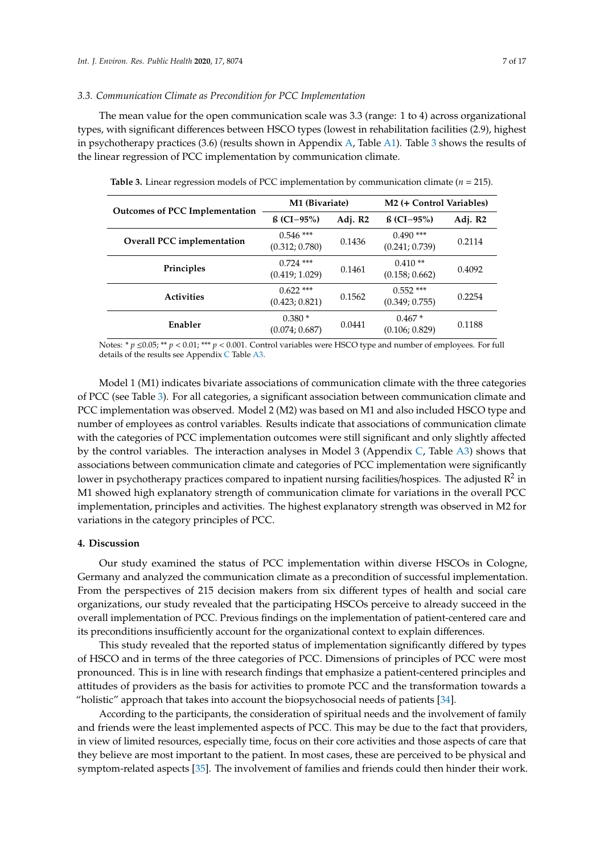#### *3.3. Communication Climate as Precondition for PCC Implementation*

The mean value for the open communication scale was 3.3 (range: 1 to 4) across organizational types, with significant differences between HSCO types (lowest in rehabilitation facilities (2.9), highest in psychotherapy practices (3.6) (results shown in Appendix [A,](#page-10-0) Table [A1\)](#page-10-1). Table [3](#page-6-0) shows the results of the linear regression of PCC implementation by communication climate.

<span id="page-6-0"></span>**Table 3.** Linear regression models of PCC implementation by communication climate (*n* = 215).

| <b>Outcomes of PCC Implementation</b> | M1 (Bivariate)                          |                     | M <sub>2</sub> (+ Control Variables) |         |  |  |
|---------------------------------------|-----------------------------------------|---------------------|--------------------------------------|---------|--|--|
|                                       | $\beta$ (CI-95%)                        | Adj. R <sub>2</sub> | $\beta$ (CI-95%)                     | Adj. R2 |  |  |
| <b>Overall PCC implementation</b>     | $0.546$ ***<br>(0.312; 0.780)           | 0.1436              | $0.490$ ***<br>(0.241; 0.739)        | 0.2114  |  |  |
| Principles                            | $0.724$ ***<br>(0.419; 1.029)           | 0.1461              | $0.410**$<br>(0.158; 0.662)          | 0.4092  |  |  |
| <b>Activities</b>                     | $0.622$ ***<br>0.1562<br>(0.423; 0.821) |                     | $0.552$ ***<br>(0.349; 0.755)        | 0.2254  |  |  |
| Enabler                               | $0.380*$<br>(0.074; 0.687)              | 0.0441              | $0.467*$<br>(0.106; 0.829)           | 0.1188  |  |  |

Notes: \* *p* ≤0.05; \*\* *p* < 0.01; \*\*\* *p* < 0.001. Control variables were HSCO type and number of employees. For full details of the results see Appendix [C](#page-12-0) Table [A3.](#page-13-0)

Model 1 (M1) indicates bivariate associations of communication climate with the three categories of PCC (see Table [3\)](#page-6-0). For all categories, a significant association between communication climate and PCC implementation was observed. Model 2 (M2) was based on M1 and also included HSCO type and number of employees as control variables. Results indicate that associations of communication climate with the categories of PCC implementation outcomes were still significant and only slightly affected by the control variables. The interaction analyses in Model 3 (Appendix [C,](#page-12-0) Table [A3\)](#page-13-0) shows that associations between communication climate and categories of PCC implementation were significantly lower in psychotherapy practices compared to inpatient nursing facilities/hospices. The adjusted  $\mathsf{R}^2$  in M1 showed high explanatory strength of communication climate for variations in the overall PCC implementation, principles and activities. The highest explanatory strength was observed in M2 for variations in the category principles of PCC.

#### **4. Discussion**

Our study examined the status of PCC implementation within diverse HSCOs in Cologne, Germany and analyzed the communication climate as a precondition of successful implementation. From the perspectives of 215 decision makers from six different types of health and social care organizations, our study revealed that the participating HSCOs perceive to already succeed in the overall implementation of PCC. Previous findings on the implementation of patient-centered care and its preconditions insufficiently account for the organizational context to explain differences.

This study revealed that the reported status of implementation significantly differed by types of HSCO and in terms of the three categories of PCC. Dimensions of principles of PCC were most pronounced. This is in line with research findings that emphasize a patient-centered principles and attitudes of providers as the basis for activities to promote PCC and the transformation towards a "holistic" approach that takes into account the biopsychosocial needs of patients [\[34\]](#page-15-13).

According to the participants, the consideration of spiritual needs and the involvement of family and friends were the least implemented aspects of PCC. This may be due to the fact that providers, in view of limited resources, especially time, focus on their core activities and those aspects of care that they believe are most important to the patient. In most cases, these are perceived to be physical and symptom-related aspects [\[35\]](#page-15-14). The involvement of families and friends could then hinder their work.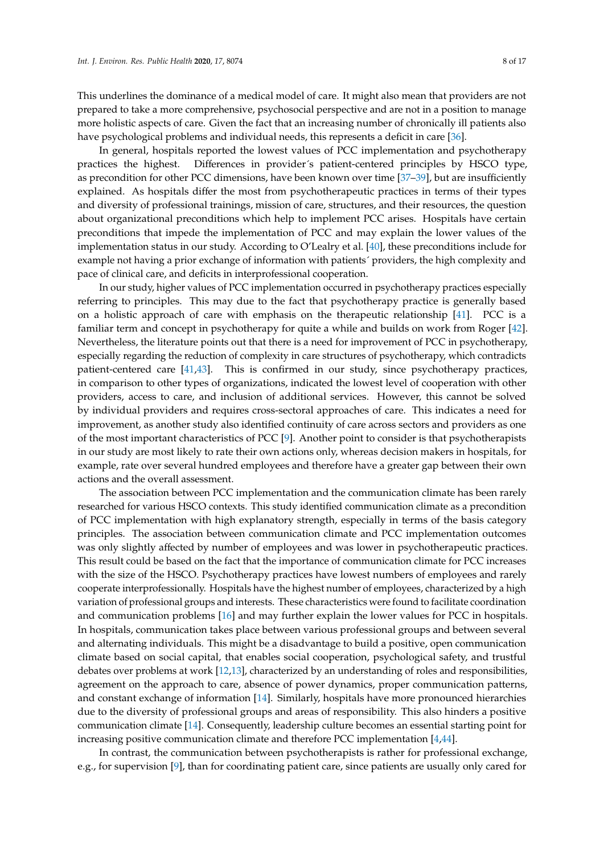This underlines the dominance of a medical model of care. It might also mean that providers are not prepared to take a more comprehensive, psychosocial perspective and are not in a position to manage more holistic aspects of care. Given the fact that an increasing number of chronically ill patients also have psychological problems and individual needs, this represents a deficit in care [\[36\]](#page-15-15).

In general, hospitals reported the lowest values of PCC implementation and psychotherapy practices the highest. Differences in provider´s patient-centered principles by HSCO type, as precondition for other PCC dimensions, have been known over time [\[37–](#page-15-16)[39\]](#page-15-17), but are insufficiently explained. As hospitals differ the most from psychotherapeutic practices in terms of their types and diversity of professional trainings, mission of care, structures, and their resources, the question about organizational preconditions which help to implement PCC arises. Hospitals have certain preconditions that impede the implementation of PCC and may explain the lower values of the implementation status in our study. According to O'Lealry et al. [\[40\]](#page-16-0), these preconditions include for example not having a prior exchange of information with patients´ providers, the high complexity and pace of clinical care, and deficits in interprofessional cooperation.

In our study, higher values of PCC implementation occurred in psychotherapy practices especially referring to principles. This may due to the fact that psychotherapy practice is generally based on a holistic approach of care with emphasis on the therapeutic relationship [\[41\]](#page-16-1). PCC is a familiar term and concept in psychotherapy for quite a while and builds on work from Roger [\[42\]](#page-16-2). Nevertheless, the literature points out that there is a need for improvement of PCC in psychotherapy, especially regarding the reduction of complexity in care structures of psychotherapy, which contradicts patient-centered care [\[41,](#page-16-1)[43\]](#page-16-3). This is confirmed in our study, since psychotherapy practices, in comparison to other types of organizations, indicated the lowest level of cooperation with other providers, access to care, and inclusion of additional services. However, this cannot be solved by individual providers and requires cross-sectoral approaches of care. This indicates a need for improvement, as another study also identified continuity of care across sectors and providers as one of the most important characteristics of PCC [\[9\]](#page-14-8). Another point to consider is that psychotherapists in our study are most likely to rate their own actions only, whereas decision makers in hospitals, for example, rate over several hundred employees and therefore have a greater gap between their own actions and the overall assessment.

The association between PCC implementation and the communication climate has been rarely researched for various HSCO contexts. This study identified communication climate as a precondition of PCC implementation with high explanatory strength, especially in terms of the basis category principles. The association between communication climate and PCC implementation outcomes was only slightly affected by number of employees and was lower in psychotherapeutic practices. This result could be based on the fact that the importance of communication climate for PCC increases with the size of the HSCO. Psychotherapy practices have lowest numbers of employees and rarely cooperate interprofessionally. Hospitals have the highest number of employees, characterized by a high variation of professional groups and interests. These characteristics were found to facilitate coordination and communication problems [\[16\]](#page-14-14) and may further explain the lower values for PCC in hospitals. In hospitals, communication takes place between various professional groups and between several and alternating individuals. This might be a disadvantage to build a positive, open communication climate based on social capital, that enables social cooperation, psychological safety, and trustful debates over problems at work [\[12,](#page-14-11)[13\]](#page-14-12), characterized by an understanding of roles and responsibilities, agreement on the approach to care, absence of power dynamics, proper communication patterns, and constant exchange of information [\[14\]](#page-14-13). Similarly, hospitals have more pronounced hierarchies due to the diversity of professional groups and areas of responsibility. This also hinders a positive communication climate [\[14\]](#page-14-13). Consequently, leadership culture becomes an essential starting point for increasing positive communication climate and therefore PCC implementation [\[4](#page-14-3)[,44\]](#page-16-4).

In contrast, the communication between psychotherapists is rather for professional exchange, e.g., for supervision [\[9\]](#page-14-8), than for coordinating patient care, since patients are usually only cared for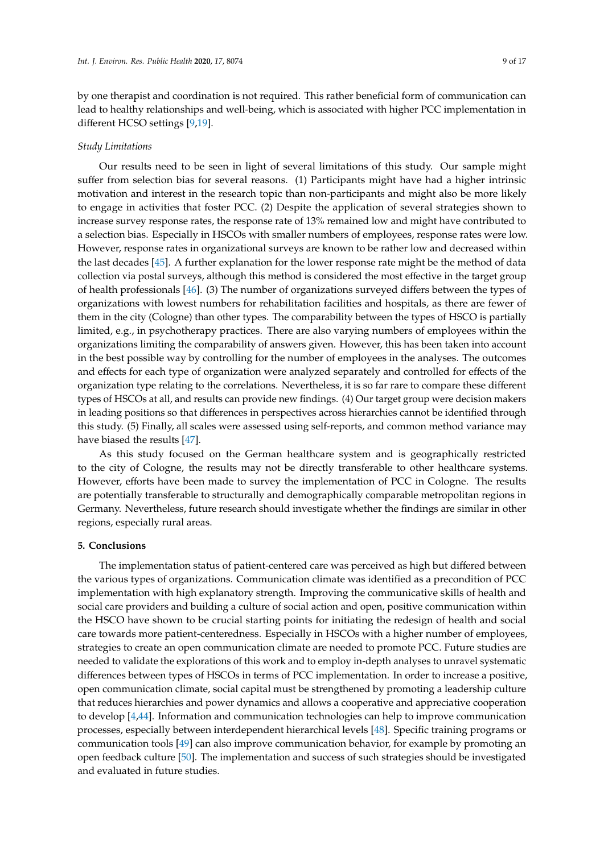by one therapist and coordination is not required. This rather beneficial form of communication can lead to healthy relationships and well-being, which is associated with higher PCC implementation in different HCSO settings [\[9,](#page-14-8)[19\]](#page-14-16).

#### *Study Limitations*

Our results need to be seen in light of several limitations of this study. Our sample might suffer from selection bias for several reasons. (1) Participants might have had a higher intrinsic motivation and interest in the research topic than non-participants and might also be more likely to engage in activities that foster PCC. (2) Despite the application of several strategies shown to increase survey response rates, the response rate of 13% remained low and might have contributed to a selection bias. Especially in HSCOs with smaller numbers of employees, response rates were low. However, response rates in organizational surveys are known to be rather low and decreased within the last decades [\[45\]](#page-16-5). A further explanation for the lower response rate might be the method of data collection via postal surveys, although this method is considered the most effective in the target group of health professionals [\[46\]](#page-16-6). (3) The number of organizations surveyed differs between the types of organizations with lowest numbers for rehabilitation facilities and hospitals, as there are fewer of them in the city (Cologne) than other types. The comparability between the types of HSCO is partially limited, e.g., in psychotherapy practices. There are also varying numbers of employees within the organizations limiting the comparability of answers given. However, this has been taken into account in the best possible way by controlling for the number of employees in the analyses. The outcomes and effects for each type of organization were analyzed separately and controlled for effects of the organization type relating to the correlations. Nevertheless, it is so far rare to compare these different types of HSCOs at all, and results can provide new findings. (4) Our target group were decision makers in leading positions so that differences in perspectives across hierarchies cannot be identified through this study. (5) Finally, all scales were assessed using self-reports, and common method variance may have biased the results [\[47\]](#page-16-7).

As this study focused on the German healthcare system and is geographically restricted to the city of Cologne, the results may not be directly transferable to other healthcare systems. However, efforts have been made to survey the implementation of PCC in Cologne. The results are potentially transferable to structurally and demographically comparable metropolitan regions in Germany. Nevertheless, future research should investigate whether the findings are similar in other regions, especially rural areas.

#### **5. Conclusions**

The implementation status of patient-centered care was perceived as high but differed between the various types of organizations. Communication climate was identified as a precondition of PCC implementation with high explanatory strength. Improving the communicative skills of health and social care providers and building a culture of social action and open, positive communication within the HSCO have shown to be crucial starting points for initiating the redesign of health and social care towards more patient-centeredness. Especially in HSCOs with a higher number of employees, strategies to create an open communication climate are needed to promote PCC. Future studies are needed to validate the explorations of this work and to employ in-depth analyses to unravel systematic differences between types of HSCOs in terms of PCC implementation. In order to increase a positive, open communication climate, social capital must be strengthened by promoting a leadership culture that reduces hierarchies and power dynamics and allows a cooperative and appreciative cooperation to develop [\[4,](#page-14-3)[44\]](#page-16-4). Information and communication technologies can help to improve communication processes, especially between interdependent hierarchical levels [\[48\]](#page-16-8). Specific training programs or communication tools [\[49\]](#page-16-9) can also improve communication behavior, for example by promoting an open feedback culture [\[50\]](#page-16-10). The implementation and success of such strategies should be investigated and evaluated in future studies.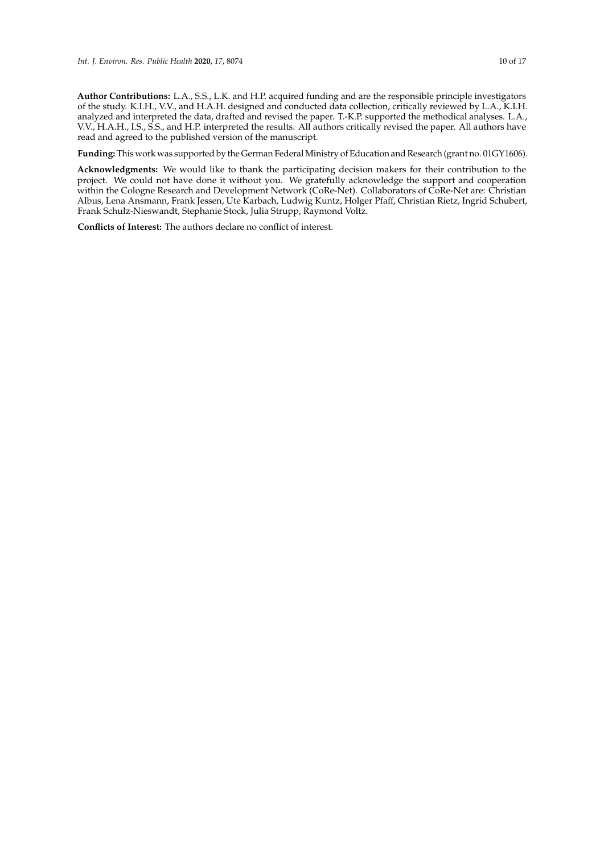**Author Contributions:** L.A., S.S., L.K. and H.P. acquired funding and are the responsible principle investigators of the study. K.I.H., V.V., and H.A.H. designed and conducted data collection, critically reviewed by L.A., K.I.H. analyzed and interpreted the data, drafted and revised the paper. T.-K.P. supported the methodical analyses. L.A., V.V., H.A.H., I.S., S.S., and H.P. interpreted the results. All authors critically revised the paper. All authors have read and agreed to the published version of the manuscript.

**Funding:** This work was supported by the German Federal Ministry of Education and Research (grant no. 01GY1606).

**Acknowledgments:** We would like to thank the participating decision makers for their contribution to the project. We could not have done it without you. We gratefully acknowledge the support and cooperation within the Cologne Research and Development Network (CoRe-Net). Collaborators of CoRe-Net are: Christian Albus, Lena Ansmann, Frank Jessen, Ute Karbach, Ludwig Kuntz, Holger Pfaff, Christian Rietz, Ingrid Schubert, Frank Schulz-Nieswandt, Stephanie Stock, Julia Strupp, Raymond Voltz.

**Conflicts of Interest:** The authors declare no conflict of interest.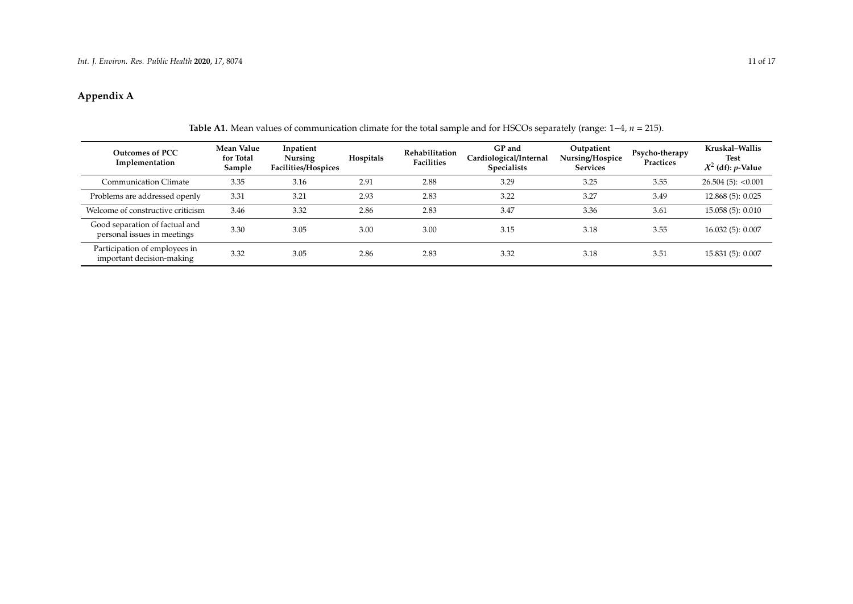### **Appendix A**

<span id="page-10-1"></span><span id="page-10-0"></span>

| <b>Outcomes of PCC</b><br>Implementation                      | Mean Value<br>for Total<br>Sample | Inpatient<br>Nursing<br>Facilities/Hospices | Hospitals | Rehabilitation<br><b>Facilities</b> | GP and<br>Cardiological/Internal<br><b>Specialists</b> | Outpatient<br>Nursing/Hospice<br><b>Services</b> | Psycho-therapy<br>Practices | Kruskal-Wallis<br><b>Test</b><br>$\chi^2$ (df): <i>p</i> -Value |
|---------------------------------------------------------------|-----------------------------------|---------------------------------------------|-----------|-------------------------------------|--------------------------------------------------------|--------------------------------------------------|-----------------------------|-----------------------------------------------------------------|
| <b>Communication Climate</b>                                  | 3.35                              | 3.16                                        | 2.91      | 2.88                                | 3.29                                                   | 3.25                                             | 3.55                        | 26.504(5): <0.001                                               |
| Problems are addressed openly                                 | 3.31                              | 3.21                                        | 2.93      | 2.83                                | 3.22                                                   | 3.27                                             | 3.49                        | 12.868 (5): 0.025                                               |
| Welcome of constructive criticism                             | 3.46                              | 3.32                                        | 2.86      | 2.83                                | 3.47                                                   | 3.36                                             | 3.61                        | 15.058(5): 0.010                                                |
| Good separation of factual and<br>personal issues in meetings | 3.30                              | 3.05                                        | 3.00      | 3.00                                | 3.15                                                   | 3.18                                             | 3.55                        | 16.032 (5): 0.007                                               |
| Participation of employees in<br>important decision-making    | 3.32                              | 3.05                                        | 2.86      | 2.83                                | 3.32                                                   | 3.18                                             | 3.51                        | 15.831 (5): 0.007                                               |

**Table A1.** Mean values of communication climate for the total sample and for HSCOs separately (range: 1−4, *n* = 215).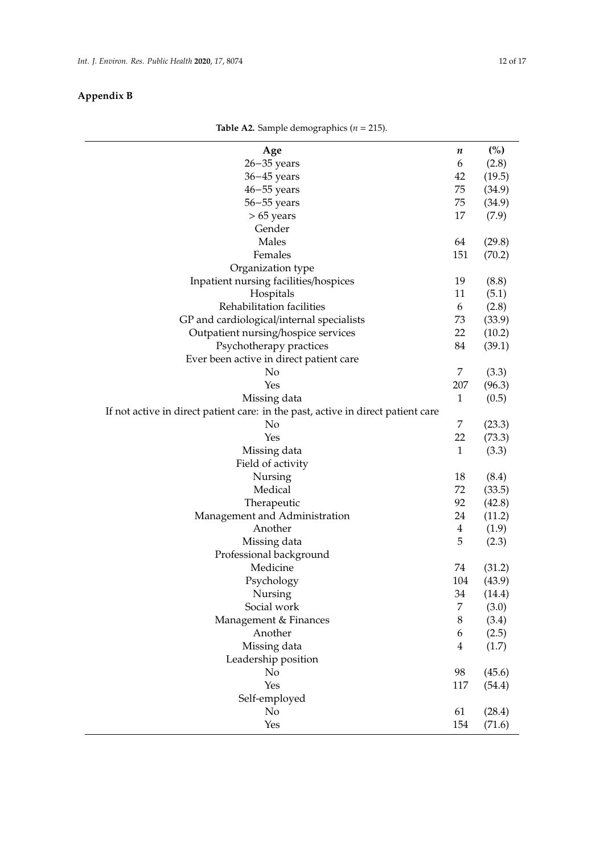## <span id="page-11-1"></span>**Appendix B**

<span id="page-11-0"></span>

| $26 - 35$ years<br>6<br>(2.8)<br>42<br>$36 - 45$ years<br>(19.5)<br>75<br>$46 - 55$ years<br>(34.9)<br>75<br>$56 - 55$ years<br>(34.9)<br>17<br>$> 65$ years<br>(7.9)<br>Gender<br>Males<br>(29.8)<br>64<br>Females<br>151<br>(70.2)<br>Organization type<br>19<br>Inpatient nursing facilities/hospices<br>(8.8)<br>11<br>Hospitals<br>(5.1)<br>Rehabilitation facilities<br>6<br>(2.8)<br>GP and cardiological/internal specialists<br>73<br>(33.9)<br>Outpatient nursing/hospice services<br>22<br>(10.2)<br>Psychotherapy practices<br>84<br>(39.1)<br>Ever been active in direct patient care<br>7<br>(3.3)<br>No<br>Yes<br>207<br>(96.3)<br>$\mathbf{1}$<br>Missing data<br>(0.5)<br>If not active in direct patient care: in the past, active in direct patient care<br>No<br>7<br>(23.3)<br>Yes<br>22<br>(73.3)<br>Missing data<br>1<br>(3.3)<br>Field of activity<br>Nursing<br>18<br>(8.4)<br>Medical<br>72<br>(33.5)<br>92<br>(42.8)<br>Therapeutic<br>Management and Administration<br>24<br>(11.2)<br>Another<br>(1.9)<br>4<br>5<br>Missing data<br>(2.3)<br>Professional background<br>Medicine<br>74<br>(31.2)<br>104<br>Psychology<br>(43.9)<br>Nursing<br>34<br>(14.4)<br>Social work<br>7<br>(3.0)<br>8<br>(3.4)<br>Management & Finances<br>Another<br>6<br>(2.5)<br>Missing data<br>$\overline{4}$<br>(1.7)<br>Leadership position<br>98<br>(45.6)<br>No<br>Yes<br>117<br>(54.4)<br>Self-employed<br>No<br>61<br>(28.4)<br>Yes<br>154<br>(71.6) | Age | n | $\binom{0}{0}$ |
|---------------------------------------------------------------------------------------------------------------------------------------------------------------------------------------------------------------------------------------------------------------------------------------------------------------------------------------------------------------------------------------------------------------------------------------------------------------------------------------------------------------------------------------------------------------------------------------------------------------------------------------------------------------------------------------------------------------------------------------------------------------------------------------------------------------------------------------------------------------------------------------------------------------------------------------------------------------------------------------------------------------------------------------------------------------------------------------------------------------------------------------------------------------------------------------------------------------------------------------------------------------------------------------------------------------------------------------------------------------------------------------------------------------------------------------------------------------------|-----|---|----------------|
|                                                                                                                                                                                                                                                                                                                                                                                                                                                                                                                                                                                                                                                                                                                                                                                                                                                                                                                                                                                                                                                                                                                                                                                                                                                                                                                                                                                                                                                                     |     |   |                |
|                                                                                                                                                                                                                                                                                                                                                                                                                                                                                                                                                                                                                                                                                                                                                                                                                                                                                                                                                                                                                                                                                                                                                                                                                                                                                                                                                                                                                                                                     |     |   |                |
|                                                                                                                                                                                                                                                                                                                                                                                                                                                                                                                                                                                                                                                                                                                                                                                                                                                                                                                                                                                                                                                                                                                                                                                                                                                                                                                                                                                                                                                                     |     |   |                |
|                                                                                                                                                                                                                                                                                                                                                                                                                                                                                                                                                                                                                                                                                                                                                                                                                                                                                                                                                                                                                                                                                                                                                                                                                                                                                                                                                                                                                                                                     |     |   |                |
|                                                                                                                                                                                                                                                                                                                                                                                                                                                                                                                                                                                                                                                                                                                                                                                                                                                                                                                                                                                                                                                                                                                                                                                                                                                                                                                                                                                                                                                                     |     |   |                |
|                                                                                                                                                                                                                                                                                                                                                                                                                                                                                                                                                                                                                                                                                                                                                                                                                                                                                                                                                                                                                                                                                                                                                                                                                                                                                                                                                                                                                                                                     |     |   |                |
|                                                                                                                                                                                                                                                                                                                                                                                                                                                                                                                                                                                                                                                                                                                                                                                                                                                                                                                                                                                                                                                                                                                                                                                                                                                                                                                                                                                                                                                                     |     |   |                |
|                                                                                                                                                                                                                                                                                                                                                                                                                                                                                                                                                                                                                                                                                                                                                                                                                                                                                                                                                                                                                                                                                                                                                                                                                                                                                                                                                                                                                                                                     |     |   |                |
|                                                                                                                                                                                                                                                                                                                                                                                                                                                                                                                                                                                                                                                                                                                                                                                                                                                                                                                                                                                                                                                                                                                                                                                                                                                                                                                                                                                                                                                                     |     |   |                |
|                                                                                                                                                                                                                                                                                                                                                                                                                                                                                                                                                                                                                                                                                                                                                                                                                                                                                                                                                                                                                                                                                                                                                                                                                                                                                                                                                                                                                                                                     |     |   |                |
|                                                                                                                                                                                                                                                                                                                                                                                                                                                                                                                                                                                                                                                                                                                                                                                                                                                                                                                                                                                                                                                                                                                                                                                                                                                                                                                                                                                                                                                                     |     |   |                |
|                                                                                                                                                                                                                                                                                                                                                                                                                                                                                                                                                                                                                                                                                                                                                                                                                                                                                                                                                                                                                                                                                                                                                                                                                                                                                                                                                                                                                                                                     |     |   |                |
|                                                                                                                                                                                                                                                                                                                                                                                                                                                                                                                                                                                                                                                                                                                                                                                                                                                                                                                                                                                                                                                                                                                                                                                                                                                                                                                                                                                                                                                                     |     |   |                |
|                                                                                                                                                                                                                                                                                                                                                                                                                                                                                                                                                                                                                                                                                                                                                                                                                                                                                                                                                                                                                                                                                                                                                                                                                                                                                                                                                                                                                                                                     |     |   |                |
|                                                                                                                                                                                                                                                                                                                                                                                                                                                                                                                                                                                                                                                                                                                                                                                                                                                                                                                                                                                                                                                                                                                                                                                                                                                                                                                                                                                                                                                                     |     |   |                |
|                                                                                                                                                                                                                                                                                                                                                                                                                                                                                                                                                                                                                                                                                                                                                                                                                                                                                                                                                                                                                                                                                                                                                                                                                                                                                                                                                                                                                                                                     |     |   |                |
|                                                                                                                                                                                                                                                                                                                                                                                                                                                                                                                                                                                                                                                                                                                                                                                                                                                                                                                                                                                                                                                                                                                                                                                                                                                                                                                                                                                                                                                                     |     |   |                |
|                                                                                                                                                                                                                                                                                                                                                                                                                                                                                                                                                                                                                                                                                                                                                                                                                                                                                                                                                                                                                                                                                                                                                                                                                                                                                                                                                                                                                                                                     |     |   |                |
|                                                                                                                                                                                                                                                                                                                                                                                                                                                                                                                                                                                                                                                                                                                                                                                                                                                                                                                                                                                                                                                                                                                                                                                                                                                                                                                                                                                                                                                                     |     |   |                |
|                                                                                                                                                                                                                                                                                                                                                                                                                                                                                                                                                                                                                                                                                                                                                                                                                                                                                                                                                                                                                                                                                                                                                                                                                                                                                                                                                                                                                                                                     |     |   |                |
|                                                                                                                                                                                                                                                                                                                                                                                                                                                                                                                                                                                                                                                                                                                                                                                                                                                                                                                                                                                                                                                                                                                                                                                                                                                                                                                                                                                                                                                                     |     |   |                |
|                                                                                                                                                                                                                                                                                                                                                                                                                                                                                                                                                                                                                                                                                                                                                                                                                                                                                                                                                                                                                                                                                                                                                                                                                                                                                                                                                                                                                                                                     |     |   |                |
|                                                                                                                                                                                                                                                                                                                                                                                                                                                                                                                                                                                                                                                                                                                                                                                                                                                                                                                                                                                                                                                                                                                                                                                                                                                                                                                                                                                                                                                                     |     |   |                |
|                                                                                                                                                                                                                                                                                                                                                                                                                                                                                                                                                                                                                                                                                                                                                                                                                                                                                                                                                                                                                                                                                                                                                                                                                                                                                                                                                                                                                                                                     |     |   |                |
|                                                                                                                                                                                                                                                                                                                                                                                                                                                                                                                                                                                                                                                                                                                                                                                                                                                                                                                                                                                                                                                                                                                                                                                                                                                                                                                                                                                                                                                                     |     |   |                |
|                                                                                                                                                                                                                                                                                                                                                                                                                                                                                                                                                                                                                                                                                                                                                                                                                                                                                                                                                                                                                                                                                                                                                                                                                                                                                                                                                                                                                                                                     |     |   |                |
|                                                                                                                                                                                                                                                                                                                                                                                                                                                                                                                                                                                                                                                                                                                                                                                                                                                                                                                                                                                                                                                                                                                                                                                                                                                                                                                                                                                                                                                                     |     |   |                |
|                                                                                                                                                                                                                                                                                                                                                                                                                                                                                                                                                                                                                                                                                                                                                                                                                                                                                                                                                                                                                                                                                                                                                                                                                                                                                                                                                                                                                                                                     |     |   |                |
|                                                                                                                                                                                                                                                                                                                                                                                                                                                                                                                                                                                                                                                                                                                                                                                                                                                                                                                                                                                                                                                                                                                                                                                                                                                                                                                                                                                                                                                                     |     |   |                |
|                                                                                                                                                                                                                                                                                                                                                                                                                                                                                                                                                                                                                                                                                                                                                                                                                                                                                                                                                                                                                                                                                                                                                                                                                                                                                                                                                                                                                                                                     |     |   |                |
|                                                                                                                                                                                                                                                                                                                                                                                                                                                                                                                                                                                                                                                                                                                                                                                                                                                                                                                                                                                                                                                                                                                                                                                                                                                                                                                                                                                                                                                                     |     |   |                |
|                                                                                                                                                                                                                                                                                                                                                                                                                                                                                                                                                                                                                                                                                                                                                                                                                                                                                                                                                                                                                                                                                                                                                                                                                                                                                                                                                                                                                                                                     |     |   |                |
|                                                                                                                                                                                                                                                                                                                                                                                                                                                                                                                                                                                                                                                                                                                                                                                                                                                                                                                                                                                                                                                                                                                                                                                                                                                                                                                                                                                                                                                                     |     |   |                |
|                                                                                                                                                                                                                                                                                                                                                                                                                                                                                                                                                                                                                                                                                                                                                                                                                                                                                                                                                                                                                                                                                                                                                                                                                                                                                                                                                                                                                                                                     |     |   |                |
|                                                                                                                                                                                                                                                                                                                                                                                                                                                                                                                                                                                                                                                                                                                                                                                                                                                                                                                                                                                                                                                                                                                                                                                                                                                                                                                                                                                                                                                                     |     |   |                |
|                                                                                                                                                                                                                                                                                                                                                                                                                                                                                                                                                                                                                                                                                                                                                                                                                                                                                                                                                                                                                                                                                                                                                                                                                                                                                                                                                                                                                                                                     |     |   |                |
|                                                                                                                                                                                                                                                                                                                                                                                                                                                                                                                                                                                                                                                                                                                                                                                                                                                                                                                                                                                                                                                                                                                                                                                                                                                                                                                                                                                                                                                                     |     |   |                |
|                                                                                                                                                                                                                                                                                                                                                                                                                                                                                                                                                                                                                                                                                                                                                                                                                                                                                                                                                                                                                                                                                                                                                                                                                                                                                                                                                                                                                                                                     |     |   |                |
|                                                                                                                                                                                                                                                                                                                                                                                                                                                                                                                                                                                                                                                                                                                                                                                                                                                                                                                                                                                                                                                                                                                                                                                                                                                                                                                                                                                                                                                                     |     |   |                |
|                                                                                                                                                                                                                                                                                                                                                                                                                                                                                                                                                                                                                                                                                                                                                                                                                                                                                                                                                                                                                                                                                                                                                                                                                                                                                                                                                                                                                                                                     |     |   |                |
|                                                                                                                                                                                                                                                                                                                                                                                                                                                                                                                                                                                                                                                                                                                                                                                                                                                                                                                                                                                                                                                                                                                                                                                                                                                                                                                                                                                                                                                                     |     |   |                |
|                                                                                                                                                                                                                                                                                                                                                                                                                                                                                                                                                                                                                                                                                                                                                                                                                                                                                                                                                                                                                                                                                                                                                                                                                                                                                                                                                                                                                                                                     |     |   |                |
|                                                                                                                                                                                                                                                                                                                                                                                                                                                                                                                                                                                                                                                                                                                                                                                                                                                                                                                                                                                                                                                                                                                                                                                                                                                                                                                                                                                                                                                                     |     |   |                |
|                                                                                                                                                                                                                                                                                                                                                                                                                                                                                                                                                                                                                                                                                                                                                                                                                                                                                                                                                                                                                                                                                                                                                                                                                                                                                                                                                                                                                                                                     |     |   |                |

**Table A2.** Sample demographics  $(n = 215)$ .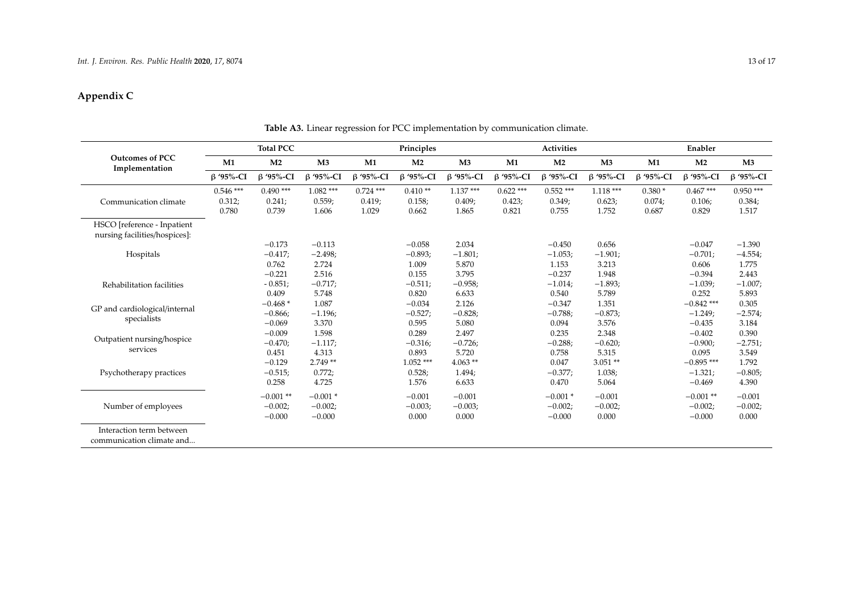## **Appendix C**

<span id="page-12-0"></span>

|                                                              |                 | <b>Total PCC</b> |                 |                 | Principles      |                 |                 | <b>Activities</b> |                 |                 | Enabler         |                 |
|--------------------------------------------------------------|-----------------|------------------|-----------------|-----------------|-----------------|-----------------|-----------------|-------------------|-----------------|-----------------|-----------------|-----------------|
| <b>Outcomes of PCC</b><br>Implementation                     | M1              | M <sub>2</sub>   | M <sub>3</sub>  | M1              | M <sub>2</sub>  | M <sub>3</sub>  | M1              | M <sub>2</sub>    | $\mathbf{M}3$   | M1              | M <sub>2</sub>  | M3              |
|                                                              | β '95%-CI       | $\beta$ '95%-CI  | $\beta$ '95%-CI | $\beta$ '95%-CI | β '95%-CI       | $\beta$ '95%-CI | $\beta$ '95%-CI | $\beta$ '95%-CI   | $\beta$ '95%-CI | $\beta$ '95%-CI | β '95%-CI       | $\beta$ '95%-CI |
|                                                              | $0.546***$      | $0.490***$       | $1.082***$      | $0.724$ ***     | $0.410**$       | $1.137***$      | $0.622$ ***     | $0.552$ ***       | $1.118***$      | $0.380*$        | $0.467***$      | $0.950***$      |
| Communication climate                                        | 0.312;<br>0.780 | 0.241;<br>0.739  | 0.559;<br>1.606 | 0.419;<br>1.029 | 0.158;<br>0.662 | 0.409:<br>1.865 | 0.423;<br>0.821 | 0.349:<br>0.755   | 0.623;<br>1.752 | 0.074;<br>0.687 | 0.106;<br>0.829 | 0.384;<br>1.517 |
| HSCO [reference - Inpatient<br>nursing facilities/hospices]: |                 |                  |                 |                 |                 |                 |                 |                   |                 |                 |                 |                 |
|                                                              |                 | $-0.173$         | $-0.113$        |                 | $-0.058$        | 2.034           |                 | $-0.450$          | 0.656           |                 | $-0.047$        | $-1.390$        |
| Hospitals                                                    |                 | $-0.417$ :       | $-2.498:$       |                 | $-0.893:$       | $-1.801:$       |                 | $-1.053;$         | $-1.901;$       |                 | $-0.701:$       | $-4.554;$       |
|                                                              |                 | 0.762            | 2.724           |                 | 1.009           | 5.870           |                 | 1.153             | 3.213           |                 | 0.606           | 1.775           |
|                                                              |                 | $-0.221$         | 2.516           |                 | 0.155           | 3.795           |                 | $-0.237$          | 1.948           |                 | $-0.394$        | 2.443           |
| Rehabilitation facilities                                    |                 | $-0.851;$        | $-0.717;$       |                 | $-0.511;$       | $-0.958;$       |                 | $-1.014;$         | $-1.893;$       |                 | $-1.039;$       | $-1.007;$       |
|                                                              |                 | 0.409            | 5.748           |                 | 0.820           | 6.633           |                 | 0.540             | 5.789           |                 | 0.252           | 5.893           |
| GP and cardiological/internal                                |                 | $-0.468*$        | 1.087           |                 | $-0.034$        | 2.126           |                 | $-0.347$          | 1.351           |                 | $-0.842$ ***    | 0.305           |
| specialists                                                  |                 | $-0.866;$        | $-1.196;$       |                 | $-0.527;$       | $-0.828;$       |                 | $-0.788;$         | $-0.873;$       |                 | $-1.249;$       | $-2.574;$       |
|                                                              |                 | $-0.069$         | 3.370           |                 | 0.595           | 5.080           |                 | 0.094             | 3.576           |                 | $-0.435$        | 3.184           |
|                                                              |                 | $-0.009$         | 1.598           |                 | 0.289           | 2.497           |                 | 0.235             | 2.348           |                 | $-0.402$        | 0.390           |
| Outpatient nursing/hospice<br>services                       |                 | $-0.470;$        | $-1.117;$       |                 | $-0.316;$       | $-0.726$        |                 | $-0.288;$         | $-0.620;$       |                 | $-0.900;$       | $-2.751;$       |
|                                                              |                 | 0.451            | 4.313           |                 | 0.893           | 5.720           |                 | 0.758             | 5.315           |                 | 0.095           | 3.549           |
|                                                              |                 | $-0.129$         | $2.749**$       |                 | $1.052$ ***     | $4.063**$       |                 | 0.047             | $3.051**$       |                 | $-0.895$ ***    | 1.792           |
| Psychotherapy practices                                      |                 | $-0.515;$        | 0.772;          |                 | 0.528;          | 1.494;          |                 | $-0.377;$         | 1.038;          |                 | $-1.321;$       | $-0.805;$       |
|                                                              |                 | 0.258            | 4.725           |                 | 1.576           | 6.633           |                 | 0.470             | 5.064           |                 | $-0.469$        | 4.390           |
|                                                              |                 | $-0.001$ **      | $-0.001*$       |                 | $-0.001$        | $-0.001$        |                 | $-0.001*$         | $-0.001$        |                 | $-0.001$ **     | $-0.001$        |
| Number of employees                                          |                 | $-0.002;$        | $-0.002;$       |                 | $-0.003;$       | $-0.003;$       |                 | $-0.002;$         | $-0.002;$       |                 | $-0.002;$       | $-0.002;$       |
|                                                              |                 | $-0.000$         | $-0.000$        |                 | 0.000           | 0.000           |                 | $-0.000$          | 0.000           |                 | $-0.000$        | 0.000           |
| Interaction term between<br>communication climate and        |                 |                  |                 |                 |                 |                 |                 |                   |                 |                 |                 |                 |

**Table A3.** Linear regression for PCC implementation by communication climate.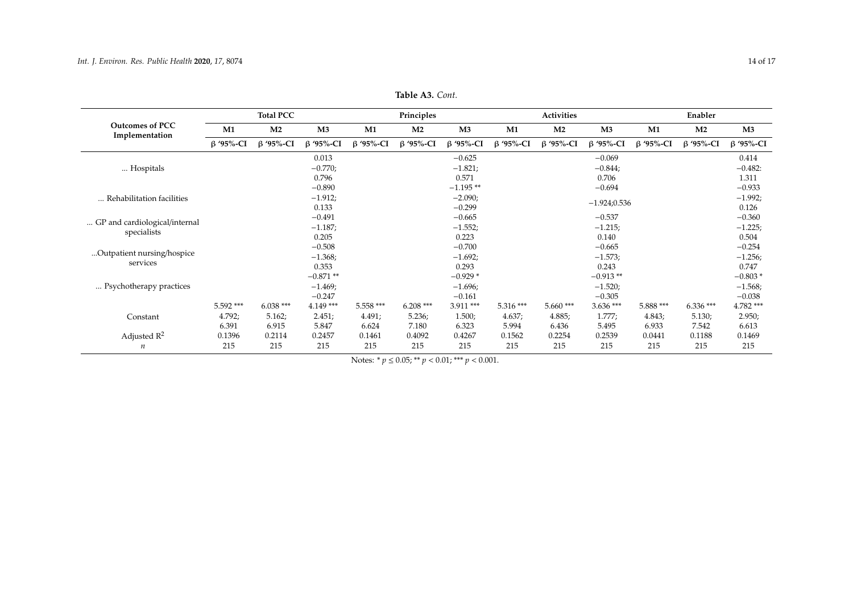<span id="page-13-0"></span>

|                                              |             | <b>Total PCC</b> |                 |               | Principles      |                |                 | <b>Activities</b> |                 |             | Enabler        |                 |
|----------------------------------------------|-------------|------------------|-----------------|---------------|-----------------|----------------|-----------------|-------------------|-----------------|-------------|----------------|-----------------|
| <b>Outcomes of PCC</b><br>Implementation     | M1          | M <sub>2</sub>   | M <sub>3</sub>  | $\mathbf{M1}$ | M <sub>2</sub>  | M <sub>3</sub> | $\mathbf{M1}$   | M <sub>2</sub>    | M <sub>3</sub>  | M1          | M <sub>2</sub> | $\mathbf{M}3$   |
|                                              | $β$ '95%-CI | $β'95%$ -CI      | $\beta$ '95%-CI | $β'95%$ -CI   | $\beta$ '95%-CI | $β$ '95%-CI    | $\beta$ '95%-CI | $\beta$ '95%-CI   | $\beta$ '95%-CI | $β'95%$ -CI | $β$ '95%-CI    | $\beta$ '95%-CI |
|                                              |             |                  | 0.013           |               |                 | $-0.625$       |                 |                   | $-0.069$        |             |                | 0.414           |
| Hospitals                                    |             |                  | $-0.770;$       |               |                 | $-1.821;$      |                 |                   | $-0.844;$       |             |                | $-0.482:$       |
|                                              |             |                  | 0.796           |               |                 | 0.571          |                 |                   | 0.706           |             |                | 1.311           |
|                                              |             |                  | $-0.890$        |               |                 | $-1.195**$     |                 |                   | $-0.694$        |             |                | $-0.933$        |
| Rehabilitation facilities                    |             |                  | $-1.912;$       |               |                 | $-2.090;$      |                 |                   | $-1.924;0.536$  |             |                | $-1.992;$       |
|                                              |             |                  | 0.133           |               |                 | $-0.299$       |                 |                   |                 |             |                | 0.126           |
| GP and cardiological/internal<br>specialists |             |                  | $-0.491$        |               |                 | $-0.665$       |                 |                   | $-0.537$        |             |                | $-0.360$        |
|                                              |             |                  | $-1.187;$       |               |                 | $-1.552;$      |                 |                   | $-1.215;$       |             |                | $-1.225;$       |
|                                              |             |                  | 0.205           |               |                 | 0.223          |                 |                   | 0.140           |             |                | 0.504           |
| Outpatient nursing/hospice                   |             |                  | $-0.508$        |               |                 | $-0.700$       |                 |                   | $-0.665$        |             |                | $-0.254$        |
| services                                     |             |                  | $-1.368;$       |               |                 | $-1.692;$      |                 |                   | $-1.573;$       |             |                | $-1.256;$       |
|                                              |             |                  | 0.353           |               |                 | 0.293          |                 |                   | 0.243           |             |                | 0.747           |
|                                              |             |                  | $-0.871**$      |               |                 | $-0.929*$      |                 |                   | $-0.913**$      |             |                | $-0.803*$       |
| Psychotherapy practices                      |             |                  | $-1.469;$       |               |                 | $-1.696;$      |                 |                   | $-1.520;$       |             |                | $-1.568;$       |
|                                              |             |                  | $-0.247$        |               |                 | $-0.161$       |                 |                   | $-0.305$        |             |                | $-0.038$        |
|                                              | 5.592***    | $6.038***$       | $4.149***$      | 5.558 ***     | $6.208***$      | $3.911***$     | $5.316***$      | $5.660***$        | $3.636***$      | 5.888 ***   | $6.336***$     | 4.782***        |
| Constant                                     | 4.792;      | 5.162;           | 2.451;          | 4.491;        | 5.236;          | 1.500;         | 4.637;          | 4.885;            | 1.777;          | 4.843;      | 5.130;         | 2.950;          |
|                                              | 6.391       | 6.915            | 5.847           | 6.624         | 7.180           | 6.323          | 5.994           | 6.436             | 5.495           | 6.933       | 7.542          | 6.613           |
| Adjusted $R^2$                               | 0.1396      | 0.2114           | 0.2457          | 0.1461        | 0.4092          | 0.4267         | 0.1562          | 0.2254            | 0.2539          | 0.0441      | 0.1188         | 0.1469          |
| п                                            | 215         | 215              | 215             | 215           | 215             | 215            | 215             | 215               | 215             | 215         | 215            | 215             |

**Table A3.** *Cont.*

Notes:  $* p \le 0.05$ ;  $** p < 0.01$ ;  $*** p < 0.001$ .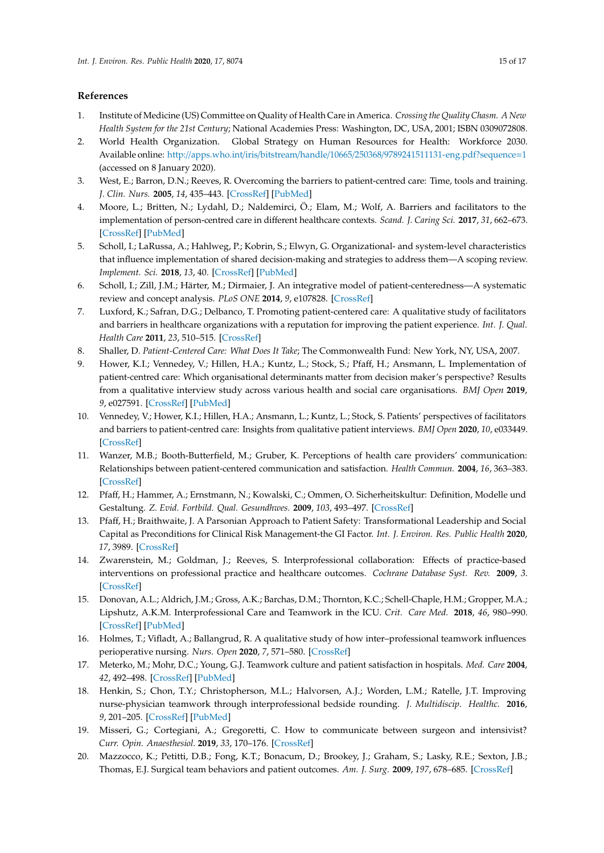#### **References**

- <span id="page-14-0"></span>1. Institute of Medicine (US) Committee on Quality of Health Care in America. *Crossing the Quality Chasm. A New Health System for the 21st Century*; National Academies Press: Washington, DC, USA, 2001; ISBN 0309072808.
- <span id="page-14-1"></span>2. World Health Organization. Global Strategy on Human Resources for Health: Workforce 2030. Available online: http://apps.who.int/iris/bitstream/handle/10665/250368/[9789241511131-eng.pdf?sequence](http://apps.who.int/iris/bitstream/handle/10665/250368/9789241511131-eng.pdf?sequence=1)=1 (accessed on 8 January 2020).
- <span id="page-14-2"></span>3. West, E.; Barron, D.N.; Reeves, R. Overcoming the barriers to patient-centred care: Time, tools and training. *J. Clin. Nurs.* **2005**, *14*, 435–443. [\[CrossRef\]](http://dx.doi.org/10.1111/j.1365-2702.2004.01091.x) [\[PubMed\]](http://www.ncbi.nlm.nih.gov/pubmed/15807750)
- <span id="page-14-3"></span>4. Moore, L.; Britten, N.; Lydahl, D.; Naldemirci, Ö.; Elam, M.; Wolf, A. Barriers and facilitators to the implementation of person-centred care in different healthcare contexts. *Scand. J. Caring Sci.* **2017**, *31*, 662–673. [\[CrossRef\]](http://dx.doi.org/10.1111/scs.12376) [\[PubMed\]](http://www.ncbi.nlm.nih.gov/pubmed/27859459)
- <span id="page-14-4"></span>5. Scholl, I.; LaRussa, A.; Hahlweg, P.; Kobrin, S.; Elwyn, G. Organizational- and system-level characteristics that influence implementation of shared decision-making and strategies to address them—A scoping review. *Implement. Sci.* **2018**, *13*, 40. [\[CrossRef\]](http://dx.doi.org/10.1186/s13012-018-0731-z) [\[PubMed\]](http://www.ncbi.nlm.nih.gov/pubmed/29523167)
- <span id="page-14-5"></span>6. Scholl, I.; Zill, J.M.; Härter, M.; Dirmaier, J. An integrative model of patient-centeredness—A systematic review and concept analysis. *PLoS ONE* **2014**, *9*, e107828. [\[CrossRef\]](http://dx.doi.org/10.1371/journal.pone.0107828)
- <span id="page-14-6"></span>7. Luxford, K.; Safran, D.G.; Delbanco, T. Promoting patient-centered care: A qualitative study of facilitators and barriers in healthcare organizations with a reputation for improving the patient experience. *Int. J. Qual. Health Care* **2011**, *23*, 510–515. [\[CrossRef\]](http://dx.doi.org/10.1093/intqhc/mzr024)
- <span id="page-14-7"></span>8. Shaller, D. *Patient-Centered Care: What Does It Take*; The Commonwealth Fund: New York, NY, USA, 2007.
- <span id="page-14-8"></span>9. Hower, K.I.; Vennedey, V.; Hillen, H.A.; Kuntz, L.; Stock, S.; Pfaff, H.; Ansmann, L. Implementation of patient-centred care: Which organisational determinants matter from decision maker's perspective? Results from a qualitative interview study across various health and social care organisations. *BMJ Open* **2019**, *9*, e027591. [\[CrossRef\]](http://dx.doi.org/10.1136/bmjopen-2018-027591) [\[PubMed\]](http://www.ncbi.nlm.nih.gov/pubmed/30940764)
- <span id="page-14-9"></span>10. Vennedey, V.; Hower, K.I.; Hillen, H.A.; Ansmann, L.; Kuntz, L.; Stock, S. Patients' perspectives of facilitators and barriers to patient-centred care: Insights from qualitative patient interviews. *BMJ Open* **2020**, *10*, e033449. [\[CrossRef\]](http://dx.doi.org/10.1136/bmjopen-2019-033449)
- <span id="page-14-10"></span>11. Wanzer, M.B.; Booth-Butterfield, M.; Gruber, K. Perceptions of health care providers' communication: Relationships between patient-centered communication and satisfaction. *Health Commun.* **2004**, *16*, 363–383. [\[CrossRef\]](http://dx.doi.org/10.1207/S15327027HC1603_6)
- <span id="page-14-11"></span>12. Pfaff, H.; Hammer, A.; Ernstmann, N.; Kowalski, C.; Ommen, O. Sicherheitskultur: Definition, Modelle und Gestaltung. *Z. Evid. Fortbild. Qual. Gesundhwes.* **2009**, *103*, 493–497. [\[CrossRef\]](http://dx.doi.org/10.1016/j.zefq.2009.08.007)
- <span id="page-14-12"></span>13. Pfaff, H.; Braithwaite, J. A Parsonian Approach to Patient Safety: Transformational Leadership and Social Capital as Preconditions for Clinical Risk Management-the GI Factor. *Int. J. Environ. Res. Public Health* **2020**, *17*, 3989. [\[CrossRef\]](http://dx.doi.org/10.3390/ijerph17113989)
- <span id="page-14-13"></span>14. Zwarenstein, M.; Goldman, J.; Reeves, S. Interprofessional collaboration: Effects of practice-based interventions on professional practice and healthcare outcomes. *Cochrane Database Syst. Rev.* **2009**, *3*. [\[CrossRef\]](http://dx.doi.org/10.1002/14651858.CD000072.pub2)
- 15. Donovan, A.L.; Aldrich, J.M.; Gross, A.K.; Barchas, D.M.; Thornton, K.C.; Schell-Chaple, H.M.; Gropper, M.A.; Lipshutz, A.K.M. Interprofessional Care and Teamwork in the ICU. *Crit. Care Med.* **2018**, *46*, 980–990. [\[CrossRef\]](http://dx.doi.org/10.1097/CCM.0000000000003067) [\[PubMed\]](http://www.ncbi.nlm.nih.gov/pubmed/29521716)
- <span id="page-14-14"></span>16. Holmes, T.; Vifladt, A.; Ballangrud, R. A qualitative study of how inter–professional teamwork influences perioperative nursing. *Nurs. Open* **2020**, *7*, 571–580. [\[CrossRef\]](http://dx.doi.org/10.1002/nop2.422)
- <span id="page-14-15"></span>17. Meterko, M.; Mohr, D.C.; Young, G.J. Teamwork culture and patient satisfaction in hospitals. *Med. Care* **2004**, *42*, 492–498. [\[CrossRef\]](http://dx.doi.org/10.1097/01.mlr.0000124389.58422.b2) [\[PubMed\]](http://www.ncbi.nlm.nih.gov/pubmed/15083111)
- 18. Henkin, S.; Chon, T.Y.; Christopherson, M.L.; Halvorsen, A.J.; Worden, L.M.; Ratelle, J.T. Improving nurse-physician teamwork through interprofessional bedside rounding. *J. Multidiscip. Healthc.* **2016**, *9*, 201–205. [\[CrossRef\]](http://dx.doi.org/10.2147/JMDH.S106644) [\[PubMed\]](http://www.ncbi.nlm.nih.gov/pubmed/27194915)
- <span id="page-14-16"></span>19. Misseri, G.; Cortegiani, A.; Gregoretti, C. How to communicate between surgeon and intensivist? *Curr. Opin. Anaesthesiol.* **2019**, *33*, 170–176. [\[CrossRef\]](http://dx.doi.org/10.1097/ACO.0000000000000808)
- <span id="page-14-17"></span>20. Mazzocco, K.; Petitti, D.B.; Fong, K.T.; Bonacum, D.; Brookey, J.; Graham, S.; Lasky, R.E.; Sexton, J.B.; Thomas, E.J. Surgical team behaviors and patient outcomes. *Am. J. Surg.* **2009**, *197*, 678–685. [\[CrossRef\]](http://dx.doi.org/10.1016/j.amjsurg.2008.03.002)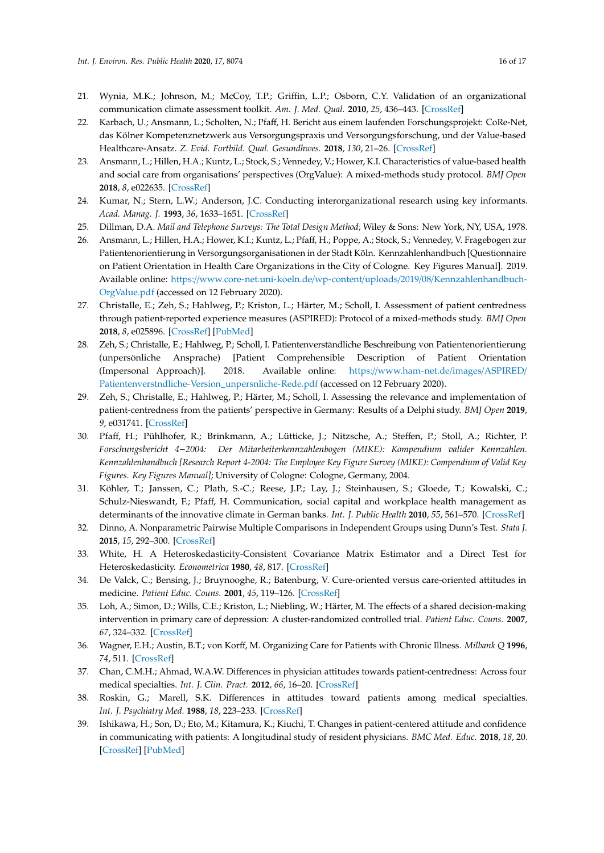- <span id="page-15-0"></span>21. Wynia, M.K.; Johnson, M.; McCoy, T.P.; Griffin, L.P.; Osborn, C.Y. Validation of an organizational communication climate assessment toolkit. *Am. J. Med. Qual.* **2010**, *25*, 436–443. [\[CrossRef\]](http://dx.doi.org/10.1177/1062860610368428)
- <span id="page-15-1"></span>22. Karbach, U.; Ansmann, L.; Scholten, N.; Pfaff, H. Bericht aus einem laufenden Forschungsprojekt: CoRe-Net, das Kölner Kompetenznetzwerk aus Versorgungspraxis und Versorgungsforschung, und der Value-based Healthcare-Ansatz. *Z. Evid. Fortbild. Qual. Gesundhwes.* **2018**, *130*, 21–26. [\[CrossRef\]](http://dx.doi.org/10.1016/j.zefq.2017.11.005)
- <span id="page-15-2"></span>23. Ansmann, L.; Hillen, H.A.; Kuntz, L.; Stock, S.; Vennedey, V.; Hower, K.I. Characteristics of value-based health and social care from organisations' perspectives (OrgValue): A mixed-methods study protocol. *BMJ Open* **2018**, *8*, e022635. [\[CrossRef\]](http://dx.doi.org/10.1136/bmjopen-2018-022635)
- <span id="page-15-3"></span>24. Kumar, N.; Stern, L.W.; Anderson, J.C. Conducting interorganizational research using key informants. *Acad. Manag. J.* **1993**, *36*, 1633–1651. [\[CrossRef\]](http://dx.doi.org/10.2307/256824)
- <span id="page-15-4"></span>25. Dillman, D.A. *Mail and Telephone Surveys: The Total Design Method*; Wiley & Sons: New York, NY, USA, 1978.
- <span id="page-15-5"></span>26. Ansmann, L.; Hillen, H.A.; Hower, K.I.; Kuntz, L.; Pfaff, H.; Poppe, A.; Stock, S.; Vennedey, V. Fragebogen zur Patientenorientierung in Versorgungsorganisationen in der Stadt Köln. Kennzahlenhandbuch [Questionnaire on Patient Orientation in Health Care Organizations in the City of Cologne. Key Figures Manual]. 2019. Available online: https://[www.core-net.uni-koeln.de](https://www.core-net.uni-koeln.de/wp-content/uploads/2019/08/Kennzahlenhandbuch-OrgValue.pdf)/wp-content/uploads/2019/08/Kennzahlenhandbuch-[OrgValue.pdf](https://www.core-net.uni-koeln.de/wp-content/uploads/2019/08/Kennzahlenhandbuch-OrgValue.pdf) (accessed on 12 February 2020).
- <span id="page-15-6"></span>27. Christalle, E.; Zeh, S.; Hahlweg, P.; Kriston, L.; Härter, M.; Scholl, I. Assessment of patient centredness through patient-reported experience measures (ASPIRED): Protocol of a mixed-methods study. *BMJ Open* **2018**, *8*, e025896. [\[CrossRef\]](http://dx.doi.org/10.1136/bmjopen-2018-025896) [\[PubMed\]](http://www.ncbi.nlm.nih.gov/pubmed/30344183)
- <span id="page-15-7"></span>28. Zeh, S.; Christalle, E.; Hahlweg, P.; Scholl, I. Patientenverständliche Beschreibung von Patientenorientierung (unpersönliche Ansprache) [Patient Comprehensible Description of Patient Orientation (Impersonal Approach)]. 2018. Available online: https://[www.ham-net.de](https://www.ham-net.de/images/ASPIRED/Patientenverstndliche-Version_unpersnliche-Rede.pdf)/images/ASPIRED/ [Patientenverstndliche-Version\\_unpersnliche-Rede.pdf](https://www.ham-net.de/images/ASPIRED/Patientenverstndliche-Version_unpersnliche-Rede.pdf) (accessed on 12 February 2020).
- <span id="page-15-8"></span>29. Zeh, S.; Christalle, E.; Hahlweg, P.; Härter, M.; Scholl, I. Assessing the relevance and implementation of patient-centredness from the patients' perspective in Germany: Results of a Delphi study. *BMJ Open* **2019**, *9*, e031741. [\[CrossRef\]](http://dx.doi.org/10.1136/bmjopen-2019-031741)
- <span id="page-15-9"></span>30. Pfaff, H.; Pühlhofer, R.; Brinkmann, A.; Lütticke, J.; Nitzsche, A.; Steffen, P.; Stoll, A.; Richter, P. *Forschungsbericht 4*−*2004: Der Mitarbeiterkennzahlenbogen (MIKE): Kompendium valider Kennzahlen. Kennzahlenhandbuch [Research Report 4-2004: The Employee Key Figure Survey (MIKE): Compendium of Valid Key Figures. Key Figures Manual]*; University of Cologne: Cologne, Germany, 2004.
- <span id="page-15-10"></span>31. Köhler, T.; Janssen, C.; Plath, S.-C.; Reese, J.P.; Lay, J.; Steinhausen, S.; Gloede, T.; Kowalski, C.; Schulz-Nieswandt, F.; Pfaff, H. Communication, social capital and workplace health management as determinants of the innovative climate in German banks. *Int. J. Public Health* **2010**, *55*, 561–570. [\[CrossRef\]](http://dx.doi.org/10.1007/s00038-010-0195-7)
- <span id="page-15-11"></span>32. Dinno, A. Nonparametric Pairwise Multiple Comparisons in Independent Groups using Dunn's Test. *Stata J.* **2015**, *15*, 292–300. [\[CrossRef\]](http://dx.doi.org/10.1177/1536867X1501500117)
- <span id="page-15-12"></span>33. White, H. A Heteroskedasticity-Consistent Covariance Matrix Estimator and a Direct Test for Heteroskedasticity. *Econometrica* **1980**, *48*, 817. [\[CrossRef\]](http://dx.doi.org/10.2307/1912934)
- <span id="page-15-13"></span>34. De Valck, C.; Bensing, J.; Bruynooghe, R.; Batenburg, V. Cure-oriented versus care-oriented attitudes in medicine. *Patient Educ. Couns.* **2001**, *45*, 119–126. [\[CrossRef\]](http://dx.doi.org/10.1016/S0738-3991(00)00201-9)
- <span id="page-15-14"></span>35. Loh, A.; Simon, D.; Wills, C.E.; Kriston, L.; Niebling, W.; Härter, M. The effects of a shared decision-making intervention in primary care of depression: A cluster-randomized controlled trial. *Patient Educ. Couns.* **2007**, *67*, 324–332. [\[CrossRef\]](http://dx.doi.org/10.1016/j.pec.2007.03.023)
- <span id="page-15-15"></span>36. Wagner, E.H.; Austin, B.T.; von Korff, M. Organizing Care for Patients with Chronic Illness. *Milbank Q* **1996**, *74*, 511. [\[CrossRef\]](http://dx.doi.org/10.2307/3350391)
- <span id="page-15-16"></span>37. Chan, C.M.H.; Ahmad, W.A.W. Differences in physician attitudes towards patient-centredness: Across four medical specialties. *Int. J. Clin. Pract.* **2012**, *66*, 16–20. [\[CrossRef\]](http://dx.doi.org/10.1111/j.1742-1241.2011.02831.x)
- 38. Roskin, G.; Marell, S.K. Differences in attitudes toward patients among medical specialties. *Int. J. Psychiatry Med.* **1988**, *18*, 223–233. [\[CrossRef\]](http://dx.doi.org/10.2190/P2D2-NT9R-7WF3-7BWX)
- <span id="page-15-17"></span>39. Ishikawa, H.; Son, D.; Eto, M.; Kitamura, K.; Kiuchi, T. Changes in patient-centered attitude and confidence in communicating with patients: A longitudinal study of resident physicians. *BMC Med. Educ.* **2018**, *18*, 20. [\[CrossRef\]](http://dx.doi.org/10.1186/s12909-018-1129-y) [\[PubMed\]](http://www.ncbi.nlm.nih.gov/pubmed/29370796)